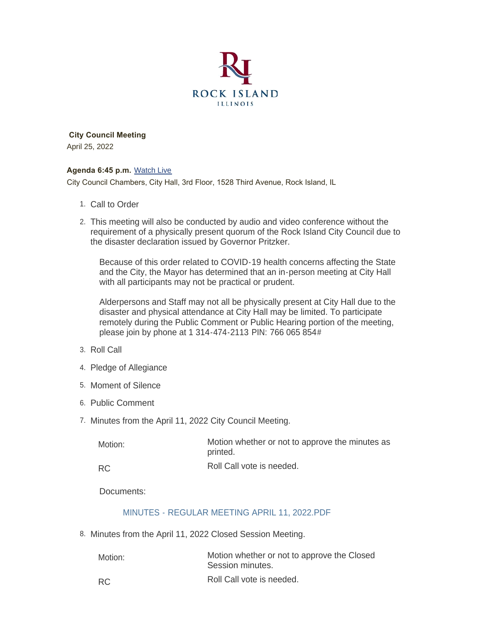

 **City Council Meeting** April 25, 2022

### **Agenda 6:45 p.m.** [Watch Live](https://www.youtube.com/user/RockIslandIL/live)

City Council Chambers, City Hall, 3rd Floor, 1528 Third Avenue, Rock Island, IL

- 1. Call to Order
- This meeting will also be conducted by audio and video conference without the 2. requirement of a physically present quorum of the Rock Island City Council due to the disaster declaration issued by Governor Pritzker.

Because of this order related to COVID-19 health concerns affecting the State and the City, the Mayor has determined that an in-person meeting at City Hall with all participants may not be practical or prudent.

Alderpersons and Staff may not all be physically present at City Hall due to the disaster and physical attendance at City Hall may be limited. To participate remotely during the Public Comment or Public Hearing portion of the meeting, please join by phone at 1 314-474-2113 PIN: 766 065 854#

- 3. Roll Call
- 4. Pledge of Allegiance
- 5. Moment of Silence
- 6. Public Comment
- 7. Minutes from the April 11, 2022 City Council Meeting.

| Motion:   | Motion whether or not to approve the minutes as<br>printed. |
|-----------|-------------------------------------------------------------|
| <b>RC</b> | Roll Call vote is needed.                                   |

Documents:

# [MINUTES - REGULAR MEETING APRIL 11, 2022.PDF](https://www.rigov.org/AgendaCenter/ViewFile/Item/5516?fileID=7897)

8. Minutes from the April 11, 2022 Closed Session Meeting.

| Motion:   | Motion whether or not to approve the Closed<br>Session minutes. |
|-----------|-----------------------------------------------------------------|
| <b>RC</b> | Roll Call vote is needed.                                       |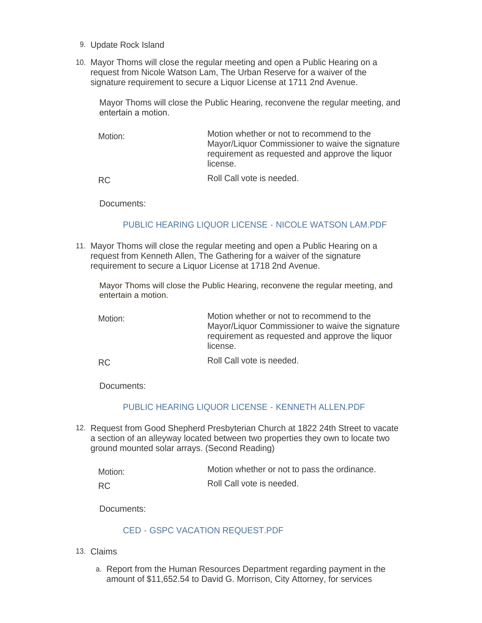- 9. Update Rock Island
- 10. Mayor Thoms will close the regular meeting and open a Public Hearing on a request from Nicole Watson Lam, The Urban Reserve for a waiver of the signature requirement to secure a Liquor License at 1711 2nd Avenue.

Mayor Thoms will close the Public Hearing, reconvene the regular meeting, and entertain a motion.

Motion whether or not to recommend to the Mayor/Liquor Commissioner to waive the signature requirement as requested and approve the liquor license. Motion:

RC

Roll Call vote is needed.

Documents:

## [PUBLIC HEARING LIQUOR LICENSE - NICOLE WATSON LAM.PDF](https://www.rigov.org/AgendaCenter/ViewFile/Item/5515?fileID=7899)

11. Mayor Thoms will close the regular meeting and open a Public Hearing on a request from Kenneth Allen, The Gathering for a waiver of the signature requirement to secure a Liquor License at 1718 2nd Avenue.

Mayor Thoms will close the Public Hearing, reconvene the regular meeting, and entertain a motion.

Motion whether or not to recommend to the Mayor/Liquor Commissioner to waive the signature requirement as requested and approve the liquor license. Motion:

Roll Call vote is needed. RC

Documents:

### [PUBLIC HEARING LIQUOR LICENSE - KENNETH ALLEN.PDF](https://www.rigov.org/AgendaCenter/ViewFile/Item/5517?fileID=7898)

12. Request from Good Shepherd Presbyterian Church at 1822 24th Street to vacate a section of an alleyway located between two properties they own to locate two ground mounted solar arrays. (Second Reading)

| Motion:   | Motion whether or not to pass the ordinance. |
|-----------|----------------------------------------------|
| <b>RC</b> | Roll Call vote is needed.                    |

Documents:

### [CED - GSPC VACATION REQUEST.PDF](https://www.rigov.org/AgendaCenter/ViewFile/Item/5508?fileID=7872)

- Claims 13.
	- a. Report from the Human Resources Department regarding payment in the amount of \$11,652.54 to David G. Morrison, City Attorney, for services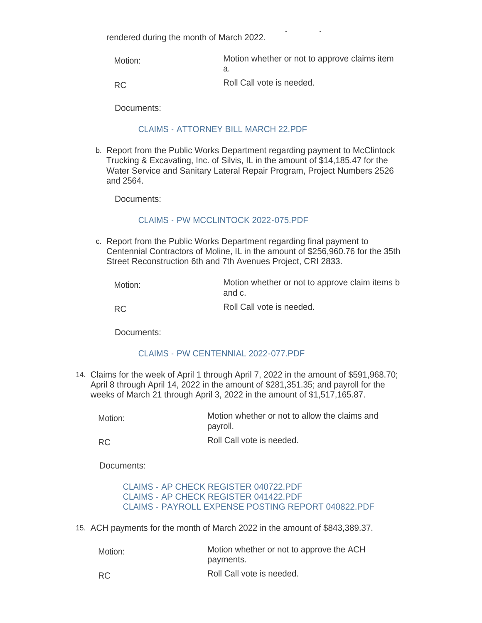amount of \$11,652.54 to David G. Morrison, City Attorney, for services rendered during the month of March 2022.

| Motion: | Motion whether or not to approve claims item |
|---------|----------------------------------------------|
|         |                                              |
| RC.     | Roll Call vote is needed.                    |

Documents:

### [CLAIMS - ATTORNEY BILL MARCH 22.PDF](https://www.rigov.org/AgendaCenter/ViewFile/Item/5525?fileID=7888)

b. Report from the Public Works Department regarding payment to McClintock Trucking & Excavating, Inc. of Silvis, IL in the amount of \$14,185.47 for the Water Service and Sanitary Lateral Repair Program, Project Numbers 2526 and 2564.

Documents:

### [CLAIMS - PW MCCLINTOCK 2022-075.PDF](https://www.rigov.org/AgendaCenter/ViewFile/Item/5526?fileID=7889)

c. Report from the Public Works Department regarding final payment to Centennial Contractors of Moline, IL in the amount of \$256,960.76 for the 35th Street Reconstruction 6th and 7th Avenues Project, CRI 2833.

| Motion: | Motion whether or not to approve claim items b |
|---------|------------------------------------------------|
|         | and c.                                         |

RC

Roll Call vote is needed.

Documents:

### [CLAIMS - PW CENTENNIAL 2022-077.PDF](https://www.rigov.org/AgendaCenter/ViewFile/Item/5527?fileID=7890)

Claims for the week of April 1 through April 7, 2022 in the amount of \$591,968.70; 14. April 8 through April 14, 2022 in the amount of \$281,351.35; and payroll for the weeks of March 21 through April 3, 2022 in the amount of \$1,517,165.87.

| Motion: | Motion whether or not to allow the claims and<br>payroll. |
|---------|-----------------------------------------------------------|
|         |                                                           |

Roll Call vote is needed. RC

Documents:

[CLAIMS - AP CHECK REGISTER 040722.PDF](https://www.rigov.org/AgendaCenter/ViewFile/Item/5510?fileID=7873) [CLAIMS - AP CHECK REGISTER 041422.PDF](https://www.rigov.org/AgendaCenter/ViewFile/Item/5510?fileID=7874) [CLAIMS - PAYROLL EXPENSE POSTING REPORT 040822.PDF](https://www.rigov.org/AgendaCenter/ViewFile/Item/5510?fileID=7875)

15. ACH payments for the month of March 2022 in the amount of \$843,389.37.

| Motion:   | Motion whether or not to approve the ACH<br>payments. |
|-----------|-------------------------------------------------------|
| <b>RC</b> | Roll Call vote is needed.                             |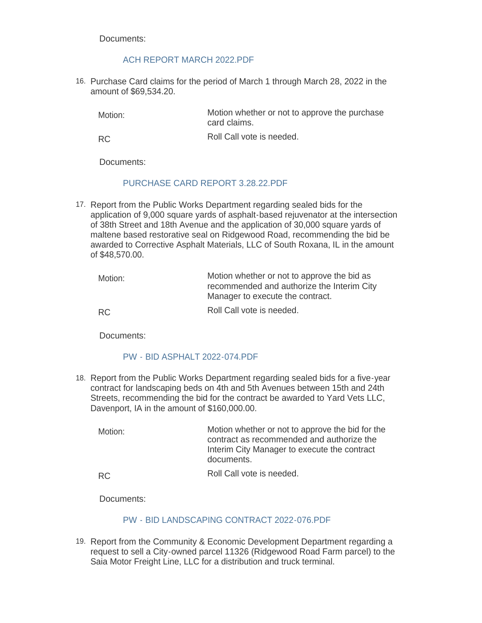Documents:

# [ACH REPORT MARCH 2022.PDF](https://www.rigov.org/AgendaCenter/ViewFile/Item/5529?fileID=7891)

16. Purchase Card claims for the period of March 1 through March 28, 2022 in the amount of \$69,534.20.

Motion whether or not to approve the purchase card claims. Motion:

Roll Call vote is needed. RC

Documents:

# [PURCHASE CARD REPORT 3.28.22.PDF](https://www.rigov.org/AgendaCenter/ViewFile/Item/5530?fileID=7892)

17. Report from the Public Works Department regarding sealed bids for the application of 9,000 square yards of asphalt-based rejuvenator at the intersection of 38th Street and 18th Avenue and the application of 30,000 square yards of maltene based restorative seal on Ridgewood Road, recommending the bid be awarded to Corrective Asphalt Materials, LLC of South Roxana, IL in the amount of \$48,570.00.

| Motion: | Motion whether or not to approve the bid as<br>recommended and authorize the Interim City<br>Manager to execute the contract. |
|---------|-------------------------------------------------------------------------------------------------------------------------------|
| RC.     | Roll Call vote is needed.                                                                                                     |

Documents:

# [PW - BID ASPHALT 2022-074.PDF](https://www.rigov.org/AgendaCenter/ViewFile/Item/5512?fileID=7878)

18. Report from the Public Works Department regarding sealed bids for a five-year contract for landscaping beds on 4th and 5th Avenues between 15th and 24th Streets, recommending the bid for the contract be awarded to Yard Vets LLC, Davenport, IA in the amount of \$160,000.00.

Motion whether or not to approve the bid for the contract as recommended and authorize the Interim City Manager to execute the contract documents. Motion:

RC

Roll Call vote is needed.

Documents:

# [PW - BID LANDSCAPING CONTRACT 2022-076.PDF](https://www.rigov.org/AgendaCenter/ViewFile/Item/5513?fileID=7879)

19. Report from the Community & Economic Development Department regarding a request to sell a City-owned parcel 11326 (Ridgewood Road Farm parcel) to the Saia Motor Freight Line, LLC for a distribution and truck terminal.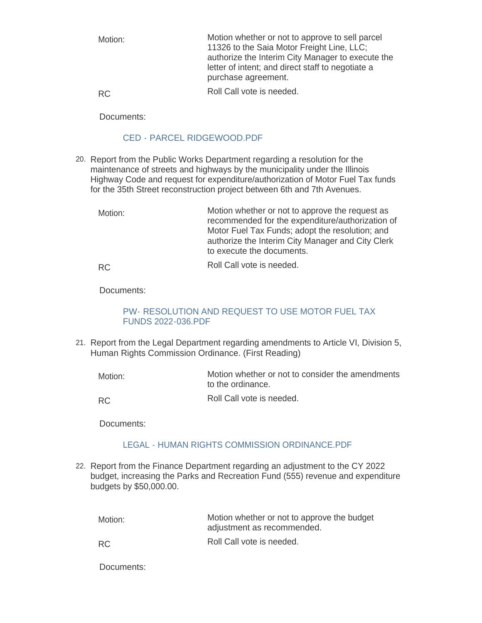| Motion: | Motion whether or not to approve to sell parcel<br>11326 to the Saia Motor Freight Line, LLC;<br>authorize the Interim City Manager to execute the<br>letter of intent; and direct staff to negotiate a<br>purchase agreement. |
|---------|--------------------------------------------------------------------------------------------------------------------------------------------------------------------------------------------------------------------------------|
| RC.     | Roll Call vote is needed.                                                                                                                                                                                                      |

Documents:

## [CED - PARCEL RIDGEWOOD.PDF](https://www.rigov.org/AgendaCenter/ViewFile/Item/5509?fileID=7876)

- 20. Report from the Public Works Department regarding a resolution for the maintenance of streets and highways by the municipality under the Illinois Highway Code and request for expenditure/authorization of Motor Fuel Tax funds for the 35th Street reconstruction project between 6th and 7th Avenues.
	- Motion whether or not to approve the request as recommended for the expenditure/authorization of Motor Fuel Tax Funds; adopt the resolution; and authorize the Interim City Manager and City Clerk to execute the documents. Motion:

Roll Call vote is needed. RC

Documents:

# [PW- RESOLUTION AND REQUEST TO USE MOTOR FUEL TAX](https://www.rigov.org/AgendaCenter/ViewFile/Item/5511?fileID=7877)  FUNDS 2022-036.PDF

21. Report from the Legal Department regarding amendments to Article VI, Division 5, Human Rights Commission Ordinance. (First Reading)

Motion whether or not to consider the amendments to the ordinance. Motion:

Roll Call vote is needed. RC

Documents:

# [LEGAL - HUMAN RIGHTS COMMISSION ORDINANCE.PDF](https://www.rigov.org/AgendaCenter/ViewFile/Item/5523?fileID=7886)

22. Report from the Finance Department regarding an adjustment to the CY 2022 budget, increasing the Parks and Recreation Fund (555) revenue and expenditure budgets by \$50,000.00.

Motion whether or not to approve the budget adjustment as recommended. Roll Call vote is needed. Motion: RC

Documents: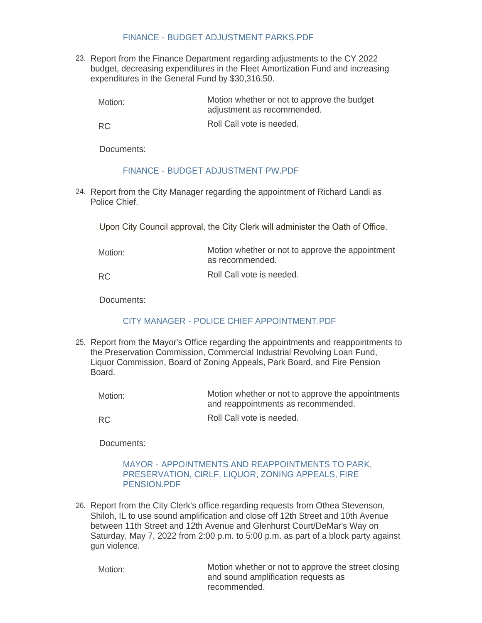## [FINANCE - BUDGET ADJUSTMENT PARKS.PDF](https://www.rigov.org/AgendaCenter/ViewFile/Item/5514?fileID=7885)

23. Report from the Finance Department regarding adjustments to the CY 2022 budget, decreasing expenditures in the Fleet Amortization Fund and increasing expenditures in the General Fund by \$30,316.50.

Motion whether or not to approve the budget adjustment as recommended. Motion:

RC

Roll Call vote is needed.

Documents:

# [FINANCE - BUDGET ADJUSTMENT PW.PDF](https://www.rigov.org/AgendaCenter/ViewFile/Item/5522?fileID=7893)

24. Report from the City Manager regarding the appointment of Richard Landi as Police Chief.

Upon City Council approval, the City Clerk will administer the Oath of Office.

| Motion:   | Motion whether or not to approve the appointment<br>as recommended. |
|-----------|---------------------------------------------------------------------|
| <b>RC</b> | Roll Call vote is needed.                                           |

Documents:

# [CITY MANAGER - POLICE CHIEF APPOINTMENT.PDF](https://www.rigov.org/AgendaCenter/ViewFile/Item/5521?fileID=7895)

25. Report from the Mayor's Office regarding the appointments and reappointments to the Preservation Commission, Commercial Industrial Revolving Loan Fund, Liquor Commission, Board of Zoning Appeals, Park Board, and Fire Pension Board.

| Motion: | Motion whether or not to approve the appointments<br>and reappointments as recommended. |
|---------|-----------------------------------------------------------------------------------------|
|         |                                                                                         |

RC

Roll Call vote is needed.

Documents:

### [MAYOR - APPOINTMENTS AND REAPPOINTMENTS TO PARK,](https://www.rigov.org/AgendaCenter/ViewFile/Item/5524?fileID=7896)  PRESERVATION, CIRLF, LIQUOR, ZONING APPEALS, FIRE PENSION.PDF

26. Report from the City Clerk's office regarding requests from Othea Stevenson, Shiloh, IL to use sound amplification and close off 12th Street and 10th Avenue between 11th Street and 12th Avenue and Glenhurst Court/DeMar's Way on Saturday, May 7, 2022 from 2:00 p.m. to 5:00 p.m. as part of a block party against gun violence.

Motion:

Motion whether or not to approve the street closing and sound amplification requests as recommended.